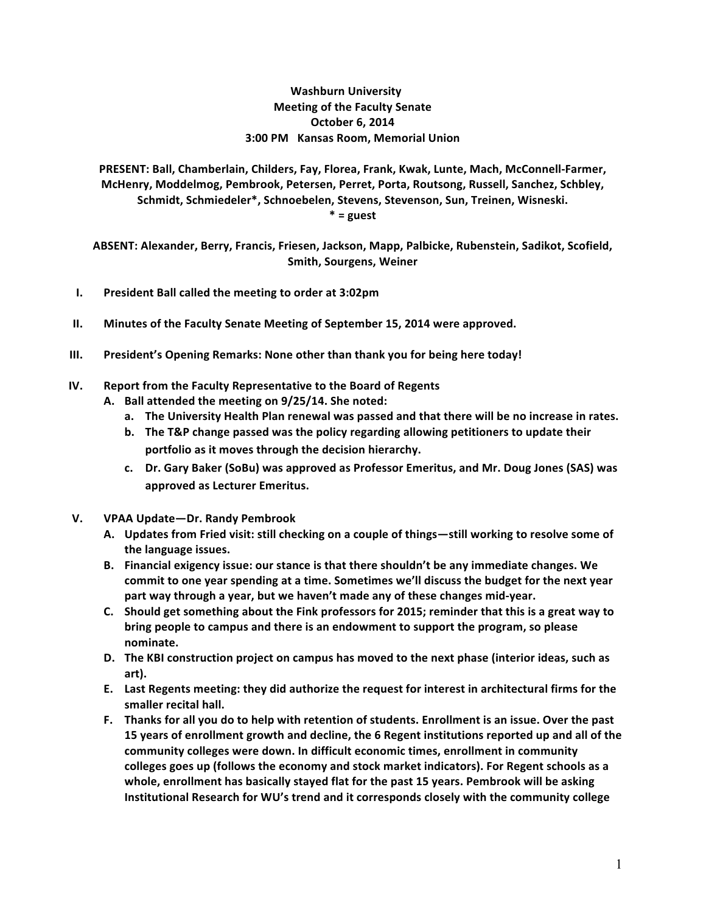# **Washburn University Meeting of the Faculty Senate October 6, 2014 3:00 PM Kansas Room, Memorial Union**

PRESENT: Ball, Chamberlain, Childers, Fay, Florea, Frank, Kwak, Lunte, Mach, McConnell-Farmer, McHenry, Moddelmog, Pembrook, Petersen, Perret, Porta, Routsong, Russell, Sanchez, Schbley, Schmidt, Schmiedeler\*, Schnoebelen, Stevens, Stevenson, Sun, Treinen, Wisneski. **\* = guest**

ABSENT: Alexander, Berry, Francis, Friesen, Jackson, Mapp, Palbicke, Rubenstein, Sadikot, Scofield, **Smith, Sourgens, Weiner** 

- **I.** President Ball called the meeting to order at 3:02pm
- **II.** Minutes of the Faculty Senate Meeting of September 15, 2014 were approved.
- **III.** President's Opening Remarks: None other than thank you for being here today!

### **IV.** Report from the Faculty Representative to the Board of Regents

- A. Ball attended the meeting on 9/25/14. She noted:
	- a. The University Health Plan renewal was passed and that there will be no increase in rates.
	- **b.** The T&P change passed was the policy regarding allowing petitioners to update their portfolio as it moves through the decision hierarchy.
	- c. Dr. Gary Baker (SoBu) was approved as Professor Emeritus, and Mr. Doug Jones (SAS) was **approved as Lecturer Emeritus.**
- **V. VPAA Update—Dr. Randy Pembrook**
	- A. Updates from Fried visit: still checking on a couple of things—still working to resolve some of the language issues.
	- B. Financial exigency issue: our stance is that there shouldn't be any immediate changes. We commit to one year spending at a time. Sometimes we'll discuss the budget for the next year part way through a year, but we haven't made any of these changes mid-year.
	- **C.** Should get something about the Fink professors for 2015; reminder that this is a great way to bring people to campus and there is an endowment to support the program, so please **nominate.**
	- D. The KBI construction project on campus has moved to the next phase (interior ideas, such as **art).**
	- **E.** Last Regents meeting: they did authorize the request for interest in architectural firms for the smaller recital hall.
	- F. Thanks for all you do to help with retention of students. Enrollment is an issue. Over the past 15 years of enrollment growth and decline, the 6 Regent institutions reported up and all of the community colleges were down. In difficult economic times, enrollment in community colleges goes up (follows the economy and stock market indicators). For Regent schools as a whole, enrollment has basically stayed flat for the past 15 years. Pembrook will be asking **Institutional Research for WU's trend and it corresponds closely with the community college**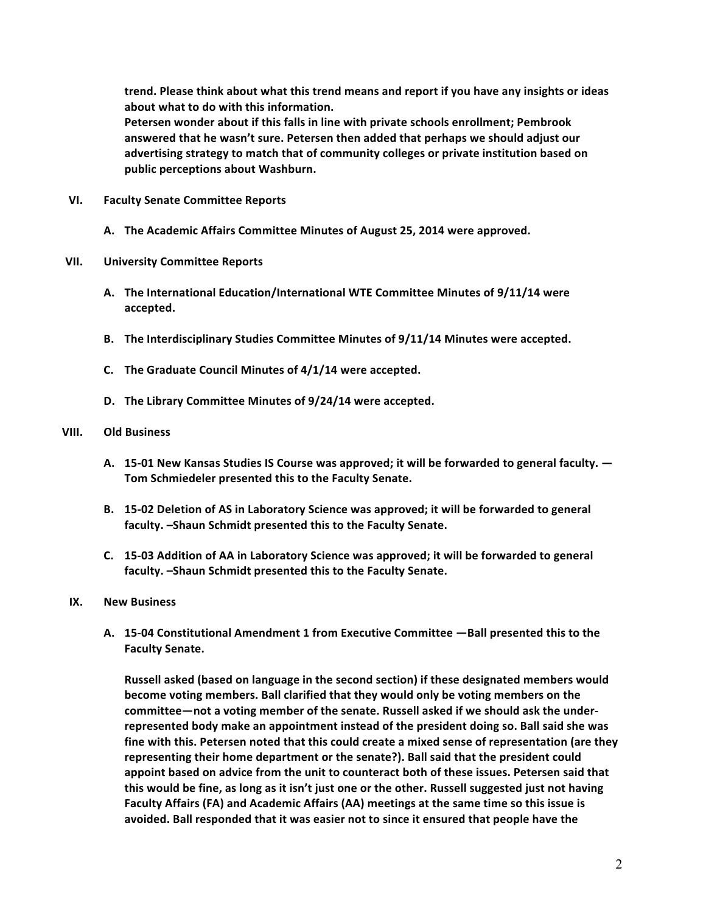trend. Please think about what this trend means and report if you have any insights or ideas about what to do with this information.

Petersen wonder about if this falls in line with private schools enrollment; Pembrook answered that he wasn't sure. Petersen then added that perhaps we should adjust our advertising strategy to match that of community colleges or private institution based on public perceptions about Washburn.

- **VI. Faculty Senate Committee Reports**
	- A. The Academic Affairs Committee Minutes of August 25, 2014 were approved.

# **VII. University Committee Reports**

- A. The International Education/International WTE Committee Minutes of 9/11/14 were **accepted.**
- B. The Interdisciplinary Studies Committee Minutes of 9/11/14 Minutes were accepted.
- **C.** The Graduate Council Minutes of 4/1/14 were accepted.
- **D.** The Library Committee Minutes of  $9/24/14$  were accepted.

# **VIII. Old Business**

- A. 15-01 New Kansas Studies IS Course was approved; it will be forwarded to general faculty.  $-$ Tom Schmiedeler presented this to the Faculty Senate.
- **B. 15-02** Deletion of AS in Laboratory Science was approved; it will be forwarded to general faculty. -Shaun Schmidt presented this to the Faculty Senate.
- **C. 15-03 Addition of AA in Laboratory Science was approved; it will be forwarded to general**  faculty. -Shaun Schmidt presented this to the Faculty Senate.

### **IX. New Business**

**A. 15-04 Constitutional Amendment 1 from Executive Committee —Ball presented this to the Faculty Senate.**

Russell asked (based on language in the second section) if these designated members would **become voting members. Ball clarified that they would only be voting members on the** committee—not a voting member of the senate. Russell asked if we should ask the underrepresented body make an appointment instead of the president doing so. Ball said she was fine with this. Petersen noted that this could create a mixed sense of representation (are they representing their home department or the senate?). Ball said that the president could appoint based on advice from the unit to counteract both of these issues. Petersen said that this would be fine, as long as it isn't just one or the other. Russell suggested just not having Faculty Affairs (FA) and Academic Affairs (AA) meetings at the same time so this issue is avoided. Ball responded that it was easier not to since it ensured that people have the